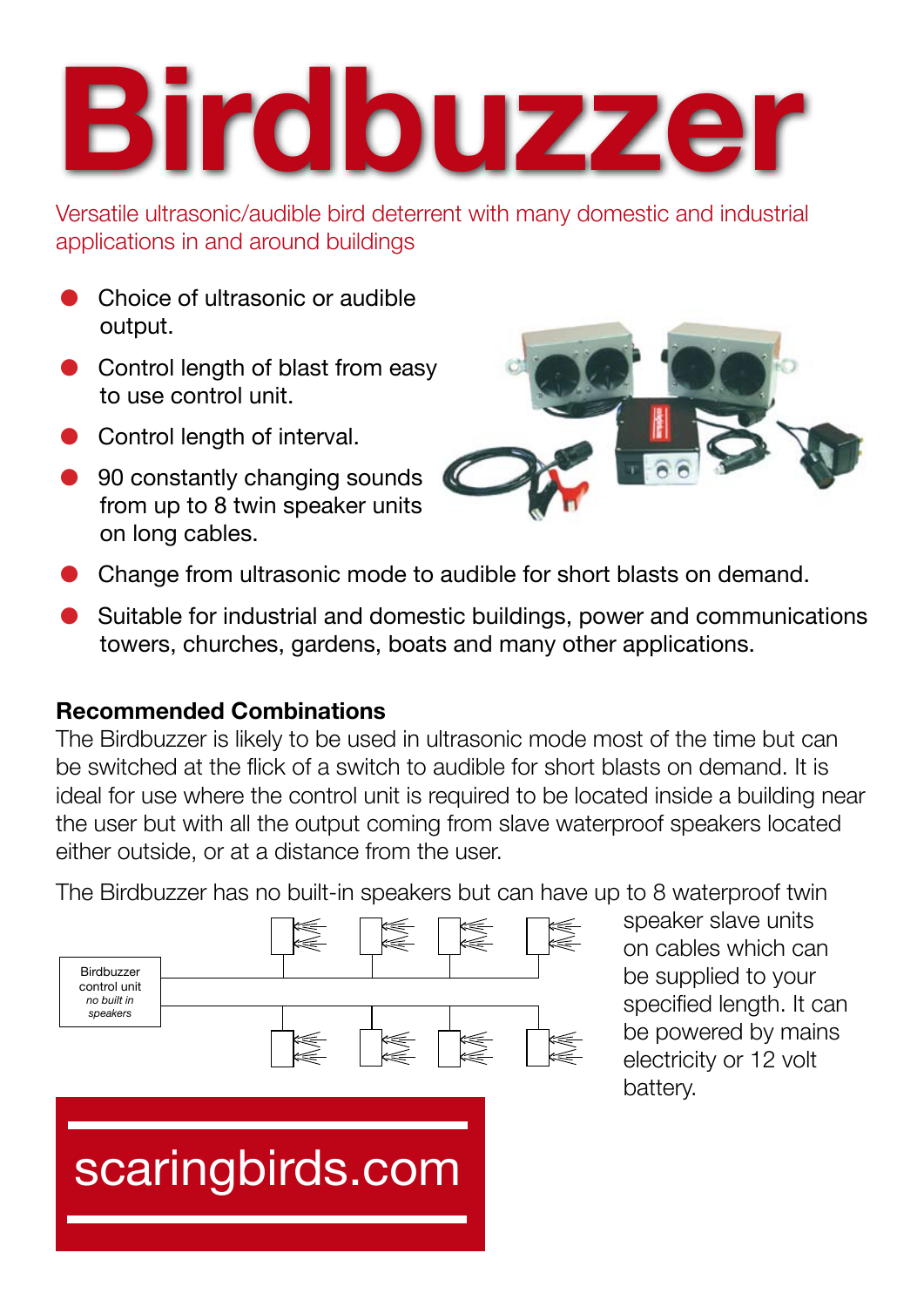# **Birdbuzzer**

Versatile ultrasonic/audible bird deterrent with many domestic and industrial applications in and around buildings

- Choice of ultrasonic or audible output.
- Control length of blast from easy to use control unit.
- Control length of interval.
- 90 constantly changing sounds from up to 8 twin speaker units on long cables.



- Change from ultrasonic mode to audible for short blasts on demand.
- Suitable for industrial and domestic buildings, power and communications towers, churches, gardens, boats and many other applications.

### **Recommended Combinations**

The Birdbuzzer is likely to be used in ultrasonic mode most of the time but can be switched at the flick of a switch to audible for short blasts on demand. It is ideal for use where the control unit is required to be located inside a building near the user but with all the output coming from slave waterproof speakers located either outside, or at a distance from the user.

The Birdbuzzer has no built-in speakers but can have up to 8 waterproof twin



speaker slave units on cables which can be supplied to your specified length. It can be powered by mains electricity or 12 volt battery.